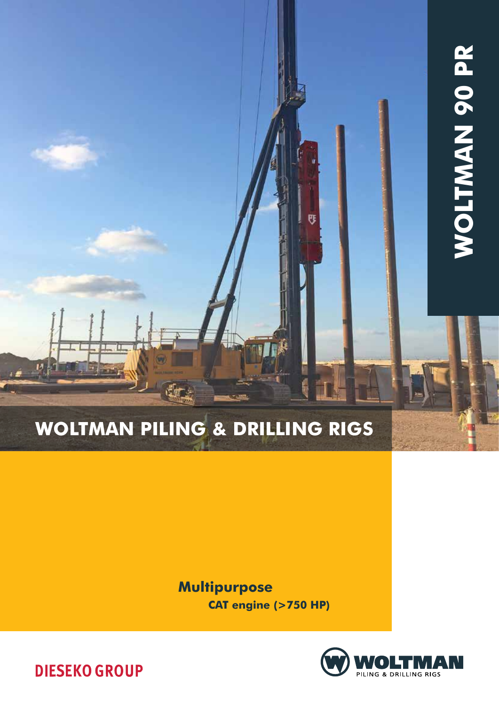# Woltman Piling & Drilling rigs

**Multipurpose** 

CAT engine (>750 HP)

FE





Ø

LE.